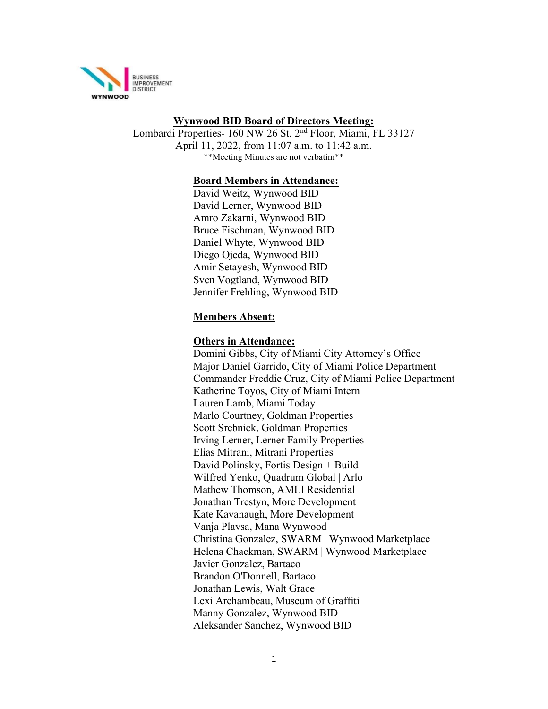

### Wynwood BID Board of Directors Meeting:

Lombardi Properties- 160 NW 26 St. 2nd Floor, Miami, FL 33127 April 11, 2022, from 11:07 a.m. to 11:42 a.m. \*\*Meeting Minutes are not verbatim\*\*

#### Board Members in Attendance:

David Weitz, Wynwood BID David Lerner, Wynwood BID Amro Zakarni, Wynwood BID Bruce Fischman, Wynwood BID Daniel Whyte, Wynwood BID Diego Ojeda, Wynwood BID Amir Setayesh, Wynwood BID Sven Vogtland, Wynwood BID Jennifer Frehling, Wynwood BID

#### Members Absent:

#### Others in Attendance:

Domini Gibbs, City of Miami City Attorney's Office Major Daniel Garrido, City of Miami Police Department Commander Freddie Cruz, City of Miami Police Department Katherine Toyos, City of Miami Intern Lauren Lamb, Miami Today Marlo Courtney, Goldman Properties Scott Srebnick, Goldman Properties Irving Lerner, Lerner Family Properties Elias Mitrani, Mitrani Properties David Polinsky, Fortis Design + Build Wilfred Yenko, Quadrum Global | Arlo Mathew Thomson, AMLI Residential Jonathan Trestyn, More Development Kate Kavanaugh, More Development Vanja Plavsa, Mana Wynwood Christina Gonzalez, SWARM | Wynwood Marketplace Helena Chackman, SWARM | Wynwood Marketplace Javier Gonzalez, Bartaco Brandon O'Donnell, Bartaco Jonathan Lewis, Walt Grace Lexi Archambeau, Museum of Graffiti Manny Gonzalez, Wynwood BID Aleksander Sanchez, Wynwood BID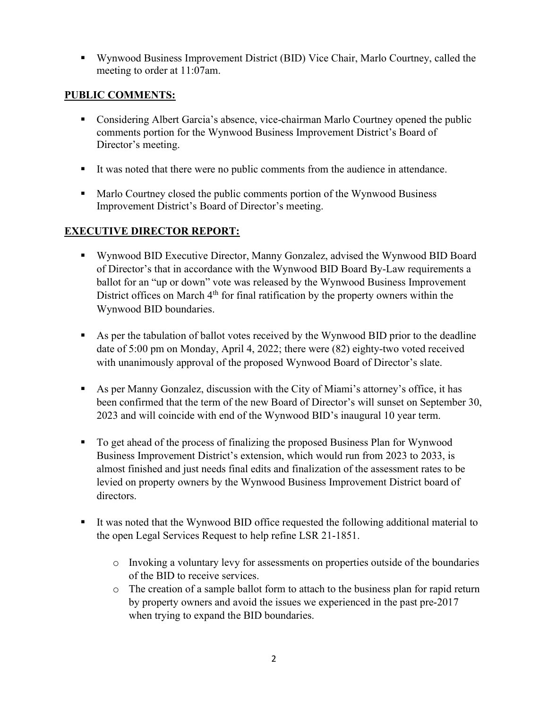Wynwood Business Improvement District (BID) Vice Chair, Marlo Courtney, called the meeting to order at 11:07am.

## PUBLIC COMMENTS:

- Considering Albert Garcia's absence, vice-chairman Marlo Courtney opened the public comments portion for the Wynwood Business Improvement District's Board of Director's meeting.
- It was noted that there were no public comments from the audience in attendance.
- Marlo Courtney closed the public comments portion of the Wynwood Business Improvement District's Board of Director's meeting.

# EXECUTIVE DIRECTOR REPORT:

- Wynwood BID Executive Director, Manny Gonzalez, advised the Wynwood BID Board of Director's that in accordance with the Wynwood BID Board By-Law requirements a ballot for an "up or down" vote was released by the Wynwood Business Improvement District offices on March  $4<sup>th</sup>$  for final ratification by the property owners within the Wynwood BID boundaries.
- As per the tabulation of ballot votes received by the Wynwood BID prior to the deadline date of 5:00 pm on Monday, April 4, 2022; there were (82) eighty-two voted received with unanimously approval of the proposed Wynwood Board of Director's slate.
- As per Manny Gonzalez, discussion with the City of Miami's attorney's office, it has been confirmed that the term of the new Board of Director's will sunset on September 30, 2023 and will coincide with end of the Wynwood BID's inaugural 10 year term.
- To get ahead of the process of finalizing the proposed Business Plan for Wynwood Business Improvement District's extension, which would run from 2023 to 2033, is almost finished and just needs final edits and finalization of the assessment rates to be levied on property owners by the Wynwood Business Improvement District board of directors.
- It was noted that the Wynwood BID office requested the following additional material to the open Legal Services Request to help refine LSR 21-1851.
	- o Invoking a voluntary levy for assessments on properties outside of the boundaries of the BID to receive services.
	- o The creation of a sample ballot form to attach to the business plan for rapid return by property owners and avoid the issues we experienced in the past pre-2017 when trying to expand the BID boundaries.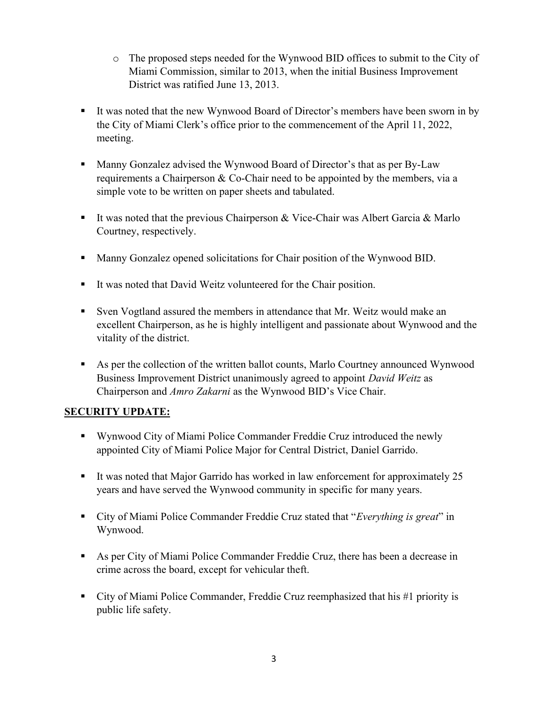- o The proposed steps needed for the Wynwood BID offices to submit to the City of Miami Commission, similar to 2013, when the initial Business Improvement District was ratified June 13, 2013.
- It was noted that the new Wynwood Board of Director's members have been sworn in by the City of Miami Clerk's office prior to the commencement of the April 11, 2022, meeting.
- Manny Gonzalez advised the Wynwood Board of Director's that as per By-Law requirements a Chairperson & Co-Chair need to be appointed by the members, via a simple vote to be written on paper sheets and tabulated.
- It was noted that the previous Chairperson & Vice-Chair was Albert Garcia & Marlo Courtney, respectively.
- Manny Gonzalez opened solicitations for Chair position of the Wynwood BID.
- It was noted that David Weitz volunteered for the Chair position.
- Sven Vogtland assured the members in attendance that Mr. Weitz would make an excellent Chairperson, as he is highly intelligent and passionate about Wynwood and the vitality of the district.
- As per the collection of the written ballot counts, Marlo Courtney announced Wynwood Business Improvement District unanimously agreed to appoint *David Weitz* as Chairperson and Amro Zakarni as the Wynwood BID's Vice Chair.

## SECURITY UPDATE:

- Wynwood City of Miami Police Commander Freddie Cruz introduced the newly appointed City of Miami Police Major for Central District, Daniel Garrido.
- It was noted that Major Garrido has worked in law enforcement for approximately  $25$ years and have served the Wynwood community in specific for many years.
- City of Miami Police Commander Freddie Cruz stated that "Everything is great" in Wynwood.
- As per City of Miami Police Commander Freddie Cruz, there has been a decrease in crime across the board, except for vehicular theft.
- City of Miami Police Commander, Freddie Cruz reemphasized that his #1 priority is public life safety.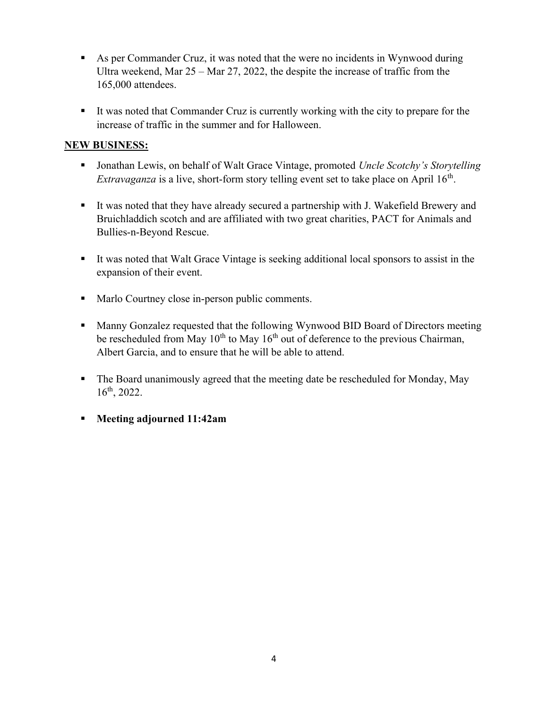- As per Commander Cruz, it was noted that the were no incidents in Wynwood during Ultra weekend, Mar 25 – Mar 27, 2022, the despite the increase of traffic from the 165,000 attendees.
- It was noted that Commander Cruz is currently working with the city to prepare for the increase of traffic in the summer and for Halloween.

# NEW BUSINESS:

- Jonathan Lewis, on behalf of Walt Grace Vintage, promoted Uncle Scotchy's Storytelling *Extravaganza* is a live, short-form story telling event set to take place on April  $16<sup>th</sup>$ .
- It was noted that they have already secured a partnership with J. Wakefield Brewery and Bruichladdich scotch and are affiliated with two great charities, PACT for Animals and Bullies-n-Beyond Rescue.
- It was noted that Walt Grace Vintage is seeking additional local sponsors to assist in the expansion of their event.
- Marlo Courtney close in-person public comments.
- Manny Gonzalez requested that the following Wynwood BID Board of Directors meeting be rescheduled from May  $10^{th}$  to May  $16^{th}$  out of deference to the previous Chairman, Albert Garcia, and to ensure that he will be able to attend.
- The Board unanimously agreed that the meeting date be rescheduled for Monday, May 16th, 2022.
- Meeting adjourned 11:42am